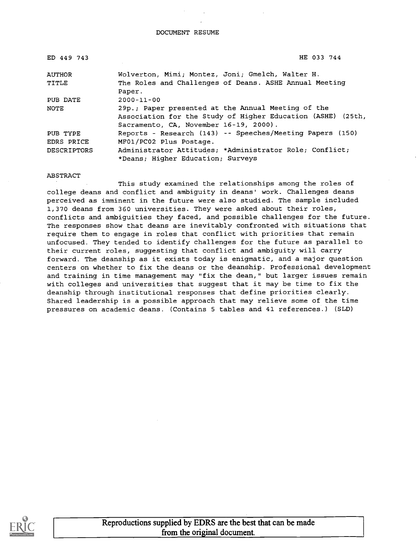DOCUMENT RESUME

| ED 449 743    | HE 033 744                                                                                                                                                  |
|---------------|-------------------------------------------------------------------------------------------------------------------------------------------------------------|
| <b>AUTHOR</b> | Wolverton, Mimi; Montez, Joni; Gmelch, Walter H.                                                                                                            |
| TITLE         | The Roles and Challenges of Deans. ASHE Annual Meeting<br>Paper.                                                                                            |
| PUB DATE      | $2000 - 11 - 00$                                                                                                                                            |
| NOTE          | 29p.; Paper presented at the Annual Meeting of the<br>Association for the Study of Higher Education (ASHE) (25th,<br>Sacramento, CA, November 16-19, 2000). |
| PUB TYPE      | Reports - Research (143) -- Speeches/Meeting Papers (150)                                                                                                   |
| EDRS PRICE    | MF01/PC02 Plus Postage.                                                                                                                                     |
| DESCRIPTORS   | Administrator Attitudes; *Administrator Role; Conflict;<br>*Deans; Higher Education; Surveys                                                                |

ABSTRACT

This study examined the relationships among the roles of college deans and conflict and ambiguity in deans' work. Challenges deans perceived as imminent in the future were also studied. The sample included 1,370 deans from 360 universities. They were asked about their roles, conflicts and ambiguities they faced, and possible challenges for the future. The responses show that deans are inevitably confronted with situations that require them to engage in roles that conflict with priorities that remain unfocused. They tended to identify challenges for the future as parallel to their current roles, suggesting that conflict and ambiguity will carry forward. The deanship as it exists today is enigmatic, and a major question centers on whether to fix the deans or the deanship. Professional development and training in time management may "fix the dean," but larger issues remain with colleges and universities that suggest that it may be time to fix the deanship through institutional responses that define priorities clearly. Shared leadership is a possible approach that may relieve some of the time pressures on academic deans. (Contains 5 tables and 41 references.) (SLD)



Reproductions supplied by EDRS are the best that can be made from the original document.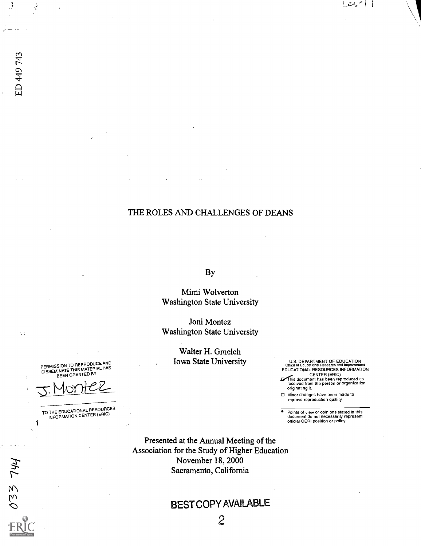## THE ROLES AND CHALLENGES OF DEANS

By

Mimi Wolverton Washington State University

Joni Montez Washington State University

> Walter H. Gmelch Iowa State University

U.S. DEPARTMENT OF EDUCATION Office of Educational Research and Improvement EDUCATIONAL RESOURCES INFORMATION

 $LeL^{-p}$ 

CENTER (ERIC)<br>This document has been reproduced as<br>received from the person or organization<br>originating it.

Minor changes have been made to improve reproduction quality.

Points of view or opinions stated in this document do not necessarily represent official OERI position or policy.

Presented at the Annual Meeting of the Association for the Study of Higher Education November 18, 2000 Sacramento, California

# BEST COPY AVAILABLE

PERMISSION TO REPRODUCE AND<br>DISSEMINATE THIS MATERIAL HAS<br>BEEN GRANTED BY

TO THE EDUCATIONAL RESOURCES<br>INFORMATION CENTER (ERIC)

ED 449 743

 $\mathcal{L}_{\mathcal{A}}$ 

033 744

Ĵ

÷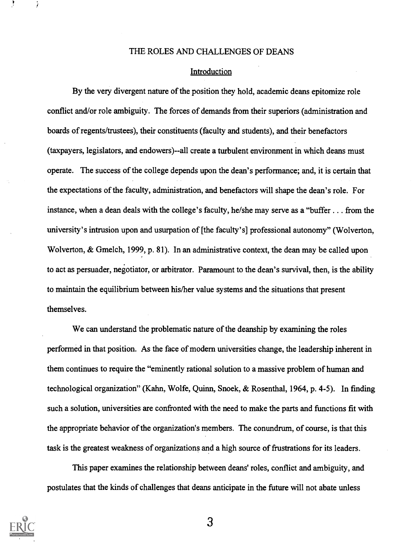#### THE ROLES AND CHALLENGES OF DEANS

#### Introduction

By the very divergent nature of the position they hold, academic deans epitomize role conflict and/or role ambiguity. The forces of demands from their superiors (administration and boards of regents/trustees), their constituents (faculty and students), and their benefactors (taxpayers, legislators, and endowers)--all create a turbulent environment in which deans must operate. The success of the college depends upon the dean's performance; and, it is certain that the expectations of the faculty, administration, and benefactors will shape the dean's role. For instance, when a dean deals with the college's faculty, he/she may serve as a "buffer . . . from the university's intrusion upon and usurpation of [the faculty's] professional autonomy" (Wolverton, Wolverton, & Gmelch, 1999, p. 81). In an administrative context, the dean may be called upon to act as persuader, negotiator, or arbitrator. Paramount to the dean's survival, then, is the ability to maintain the equilibrium between his/her value systems and the situations that present themselves.

We can understand the problematic nature of the deanship by examining the roles performed in that position. As the face of modem universities change, the leadership inherent in them continues to require the "eminently rational solution to a massive problem of human and technological organization" (Kahn, Wolfe, Quinn, Snoek, & Rosenthal, 1964, p. 4-5). In finding such a solution, universities are confronted with the need to make the parts and functions fit with the appropriate behavior of the organization's members. The conundrum, of course, is that this task is the greatest weakness of organizations and a high source of frustrations for its leaders.

This paper examines the relationship between deans' roles, conflict and ambiguity, and postulates that the kinds of challenges that deans anticipate in the future will not abate unless

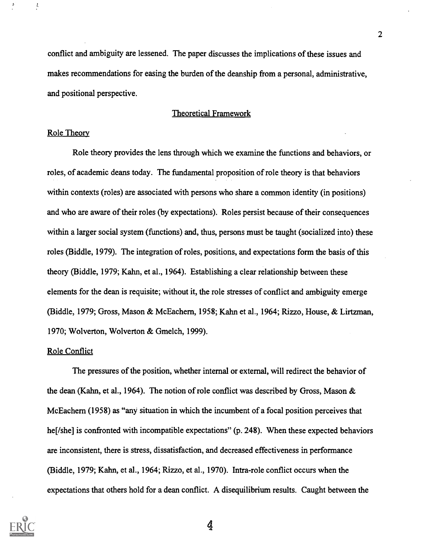conflict and ambiguity are lessened. The paper discusses the implications of these issues and makes recommendations for easing the burden of the deanship from a personal, administrative, and positional perspective.

#### Theoretical Framework

#### Role Theory

 $\frac{1}{\epsilon}$ 

Role theory provides the lens through which we examine the functions and behaviors, or roles, of academic deans today. The fundamental proposition of role theory is that behaviors within contexts (roles) are associated with persons who share a common identity (in positions) and who are aware of their roles (by expectations). Roles persist because of their consequences within a larger social system (functions) and, thus, persons must be taught (socialized into) these roles (Biddle, 1979). The integration of roles, positions, and expectations form the basis of this theory (Biddle, 1979; Kahn, et al., 1964). Establishing a clear relationship between these elements for the dean is requisite; without it, the role stresses of conflict and ambiguity emerge (Biddle, 1979; Gross, Mason & McEachern, 1958; Kahn et al., 1964; Rizzo, House, & Lirtzman, 1970; Wolverton, Wolverton & Gmelch, 1999).

#### Role Conflict

The pressures of the position, whether internal or external, will redirect the behavior of the dean (Kahn, et al., 1964). The notion of role conflict was described by Gross, Mason & McEachern (1958) as "any situation in which the incumbent of a focal position perceives that he[/she] is confronted with incompatible expectations" (p. 248). When these expected behaviors are inconsistent, there is stress, dissatisfaction, and decreased effectiveness in performance (Biddle, 1979; Kahn, et al., 1964; Rizzo, et al., 1970). Infra -role conflict occurs when the expectations that others hold for a dean conflict. A disequilibrium results. Caught between the

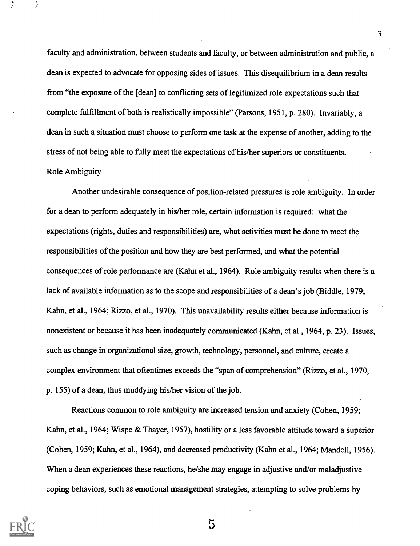faculty and administration, between students and faculty, or between administration and public, a dean is expected to advocate for opposing sides of issues. This disequilibrium in a dean results from "the exposure of the [dean] to conflicting sets of legitimized role expectations such that complete fulfillment of both is realistically impossible" (Parsons, 1951, p. 280). Invariably, a dean in such a situation must choose to perform one task at the expense of another, adding to the stress of not being able to fully meet the expectations of his/her superiors or constituents.

#### Role Ambiguity

Another undesirable consequence of position-related pressures is role ambiguity. In order for a dean to perform adequately in his/her role, certain information is required: what the expectations (rights, duties and responsibilities) are, what activities must be done to meet the responsibilities of the position and how they are best performed, and what the potential consequences of role performance are (Kahn et al., 1964). Role ambiguity results when there is a lack of available information as to the scope and responsibilities of a dean's job (Biddle, 1979; Kahn, et al., 1964; Rizzo, et al., 1970). This unavailability results either because information is nonexistent or because it has been inadequately communicated (Kahn, et al., 1964, p. 23). Issues, such as change in organizational size, growth, technology, personnel, and culture, create a complex environment that oftentimes exceeds the "span of comprehension" (Rizzo, et al., 1970, p. 155) of a dean, thus muddying his/her vision of the job.

Reactions common to role ambiguity are increased tension and anxiety (Cohen, 1959; Kahn, et al., 1964; Wispe & Thayer, 1957), hostility or a less favorable attitude toward a superior (Cohen, 1959; Kahn, et al., 1964), and decreased productivity (Kahn et al., 1964; Mandell, 1956). When a dean experiences these reactions, he/she may engage in adjustive and/or maladjustive coping behaviors, such as emotional management strategies, attempting to solve problems by

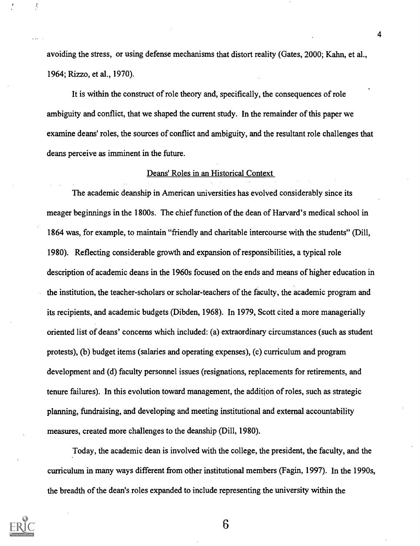avoiding the stress, or using defense mechanisms that distort reality (Gates, 2000; Kahn, et al., 1964; Rizzo, et al., 1970).

It is within the construct of role theory and, specifically, the consequences of role ambiguity and conflict, that we shaped the current study. In the remainder of this paper we examine deans' roles, the sources of conflict and ambiguity, and the resultant role challenges that deans perceive as imminent in the future.

#### Deans' Roles in an Historical Context

The academic deanship in American universities has evolved considerably since its meager beginnings in the 1800s. The chief function of the dean of Harvard's medical school in 1864 was, for example, to maintain "friendly and charitable intercourse with the students" (Dill, 1980). Reflecting considerable growth and expansion of responsibilities, a typical role description of academic deans in the 1960s focused on the ends and means of higher education in the institution, the teacher-scholars or scholar-teachers of the faculty, the academic program and its recipients, and academic budgets (Dibden, 1968). In 1979, Scott cited a more managerially oriented list of deans' concerns which included: (a) extraordinary circumstances (such as student protests), (b) budget items (salaries and operating expenses), (c) curriculum and program development and (d) faculty personnel issues (resignations, replacements for retirements, and tenure failures). In this evolution toward management, the addition of roles, such as strategic planning, fundraising, and developing and meeting institutional and external accountability measures, created more challenges to the deanship (Dill, 1980).

Today, the academic dean is involved with the college, the president, the faculty, and the curriculum in many ways different from other institutional members (Fagin, 1997). In the 1990s, the breadth of the dean's roles expanded to include representing the university within the



Â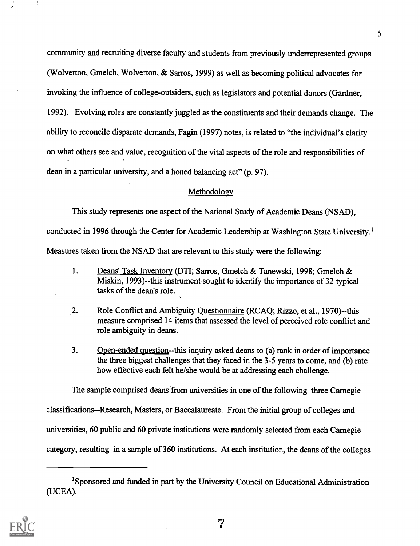community and recruiting diverse faculty and students from previously underrepresented groups (Wolverton, Gmelch, Wolverton, & Sarros, 1999) as well as becoming political advocates for invoking the influence of college-outsiders, such as legislators and potential donors (Gardner, 1992). Evolving roles are constantly juggled as the constituents and their demands change. The ability to reconcile disparate demands, Fagin (1997) notes, is related to "the individual's clarity on what others see and value, recognition of the vital aspects of the role and responsibilities of dean in a particular university, and a honed balancing act" (p. 97).

#### Methodology

This study represents one aspect of the National Study of Academic Deans (NSAD), conducted in 1996 through the Center for Academic Leadership at Washington State University.'

Measures taken from the NSAD that are relevant to this study were the following:

- 1. Deans' Task Inventory (DTI; Sarros, Gmelch & Tanewski, 1998; Gmelch & Miskin, 1993)--this instrument. sought to identify the importance of 32 typical tasks of the dean's role.
- 2. Role Conflict and Ambiguity Questionnaire (RCAQ; Rizzo, et al., 1970)--this measure comprised 14 items that assessed the level of perceived role conflict and role ambiguity in deans.
- 3. Open-ended question--this inquiry asked deans to (a) rank in order of importance the three biggest challenges that they faced in the 3-5 years to come, and (b) rate how effective each felt he/she would be at addressing each challenge.

The sample comprised deans from universities in one of the following three Carnegie classifications--Research, Masters, or Baccalaureate. From the initial group of colleges and universities, 60 public and 60 private institutions were randomly selected from each Carnegie category, resulting in a sample of 360 institutions. At each institution, the deans of the colleges

<sup>&#</sup>x27;Sponsored and funded in part by the University Council on Educational Administration (UCEA).

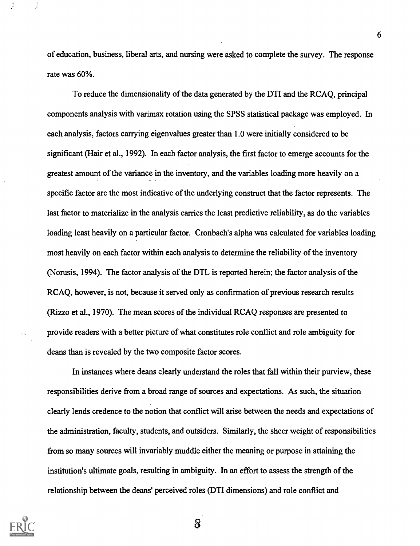of education, business, liberal arts, and nursing were asked to complete the survey. The response rate was 60%.

6

To reduce the dimensionality of the data generated by the DTI and the RCAQ, principal components analysis with varimax rotation using the SPSS statistical package was employed. In each analysis, factors carrying eigenvalues greater than 1.0 were initially considered to be significant (Hair et al., 1992). In each factor analysis, the first factor to emerge accounts for the greatest amount of the variance in the inventory, and the variables loading more heavily on a specific factor are the most indicative of the underlying construct that the factor represents. The last factor to materialize in the analysis carries the least predictive reliability, as do the variables loading least heavily on a particular factor. Cronbach's alpha was calculated for variables loading most heavily on each factor within each analysis to determine the reliability of the inventory (Norusis, 1994). The factor analysis of the DTL is reported herein; the factor analysis of the RCAQ, however, is not, because it served only as confirmation of previous research results (Rizzo et al., 1970). The mean scores of the individual RCAQ responses are presented to provide readers with a better picture of what constitutes role conflict and role ambiguity for deans than is revealed by the two composite factor scores.

In instances where deans clearly understand the roles that fall within their purview, these responsibilities derive from a broad range of sources and expectations. As such, the situation clearly lends credence to the notion that conflict will arise between the needs and expectations of the administration, faculty, students, and outsiders. Similarly, the sheer weight of responsibilities from so many sources will invariably muddle either the meaning or purpose in attaining the institution's ultimate goals, resulting in ambiguity. In an effort to assess the strength of the relationship between the deans' perceived roles (DTI dimensions) and role conflict and



 $\sim$   $\sim$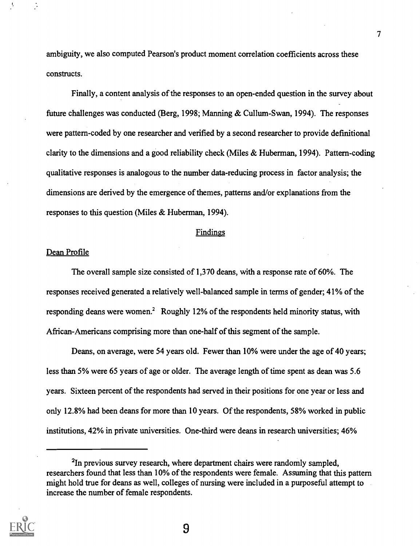ambiguity, we also computed Pearson's product moment correlation coefficients across these constructs.

Finally, a content analysis of the responses to an open-ended question in the survey about future challenges was conducted (Berg, 1998; Manning & Cullum-Swan, 1994). The responses were pattern-coded by one researcher and verified by a second researcher to provide definitional clarity to the dimensions and a good reliability check (Miles & Huberman, 1994). Pattern-coding qualitative responses is analogous to the number data-reducing process in factor analysis; the dimensions are derived by the emergence of themes, patterns and/or explanations from the responses to this question (Miles & Huberman, 1994).

#### Findings

#### Dean Profile

The overall sample size consisted of 1,370 deans, with a response rate of 60%. The responses received generated a relatively well-balanced sample in terms of gender; 41% of the responding deans were women.<sup>2</sup> Roughly 12% of the respondents held minority status, with African-Americans comprising more than one-half of this segment of the sample.

Deans, on average, were 54 years old. Fewer than 10% were under the age of 40 years; less than 5% were 65 years of age or older. The average length of time spent as dean was 5.6 years. Sixteen percent of the respondents had served in their positions for one year or less and only 12.8% had been deans for more than 10 years. Of the respondents, 58% worked in public institutions, 42% in private universities. One-third were deans in research universities; 46%

<sup>&</sup>lt;sup>2</sup>In previous survey research, where department chairs were randomly sampled, researchers found that less than 10% of the respondents were female. Assuming that this pattern might hold true for deans as well, colleges of nursing were included in a purposeful attempt to increase the number of female respondents.



 $\overline{7}$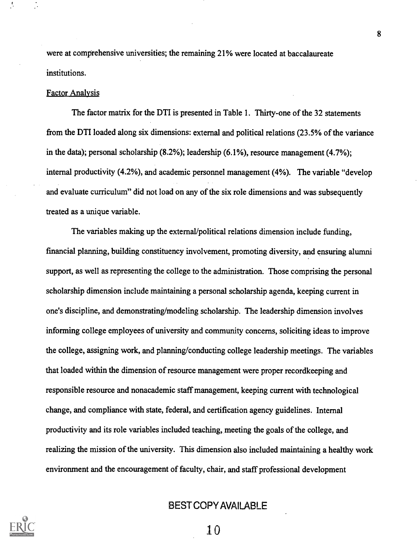were at comprehensive universities; the remaining 21% were located at baccalaureate institutions.

#### Factor Analysis

The factor matrix for the DTI is presented in Table 1. Thirty-one of the 32 statements from the DTI loaded along six dimensions: external and political relations (23.5% of the variance in the data); personal scholarship (8.2%); leadership (6.1%), resource management (4.7%); internal productivity (4.2%), and academic personnel management (4%). The variable "develop and evaluate curriculum" did not load on any of the six role dimensions and was subsequently treated as a unique variable.

The variables making up the external/political relations dimension include funding, financial planning, building constituency involvement, promoting diversity, and ensuring alumni support, as well as representing the college to the administration. Those comprising the personal scholarship dimension include maintaining a personal scholarship agenda, keeping current in one's discipline, and demonstrating/modeling scholarship. The leadership dimension involves informing college employees of university and community concerns, soliciting ideas to improve the college, assigning work, and planning/conducting college leadership meetings. The variables that loaded within the dimension of resource management were proper recordkeeping and responsible resource and nonacademic staff management, keeping current with technological change, and compliance with state, federal, and certification agency guidelines. Internal productivity and its role variables included teaching, meeting the goals of the college, and realizing the mission of the university. This dimension also included maintaining a healthy work environment and the encouragement of faculty, chair, and staff professional development

## BEST COPY AVAILABLE



10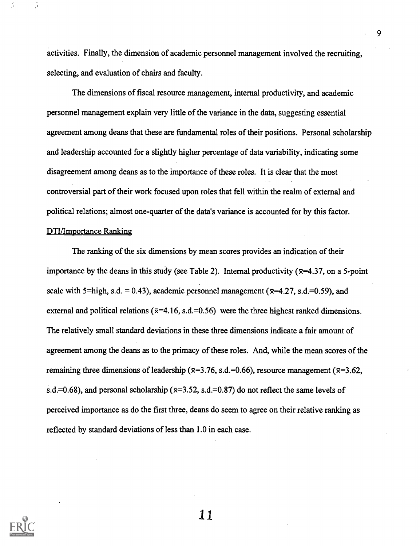activities. Finally, the dimension of academic personnel management involved the recruiting, selecting, and evaluation of chairs and faculty.

The dimensions of fiscal resource management, internal productivity, and academic personnel management explain very little of the variance in the data, suggesting essential agreement among deans that these are fundamental roles of their positions. Personal scholarship and leadership accounted for a slightly higher percentage of data variability, indicating some disagreement among deans as to the importance of these roles. It is clear that the most controversial part of their work focused upon roles that fell within the realm of external and political relations; almost one-quarter of the data's variance is accounted for by this factor.

#### DTI/Importance Ranking

The ranking of the six dimensions by mean scores provides an indication of their importance by the deans in this study (see Table 2). Internal productivity ( $\bar{x}$ =4.37, on a 5-point scale with 5=high, s.d. = 0.43), academic personnel management ( $\overline{x}$ =4.27, s.d.=0.59), and external and political relations ( $\overline{x}$ =4.16, s.d.=0.56) were the three highest ranked dimensions. The relatively small standard deviations in these three dimensions indicate a fair amount of agreement among the deans as to the primacy of these roles. And, while the mean scores of the remaining three dimensions of leadership ( $\overline{x}=3.76$ , s.d.=0.66), resource management ( $\overline{x}=3.62$ , s.d.=0.68), and personal scholarship ( $\overline{x}=3.52$ , s.d.=0.87) do not reflect the same levels of perceived importance as do the first three, deans do seem to agree on their relative ranking as reflected by standard deviations of less than 1.0 in each case.



11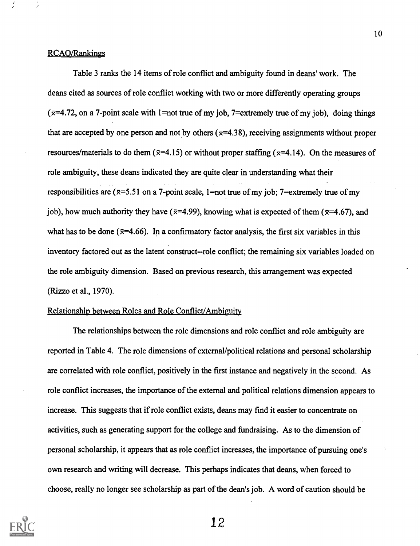Table 3 ranks the 14 items of role conflict and ambiguity found in deans' work. The deans cited as sources of role conflict working with two or more differently operating groups  $(\overline{x}=4.72)$ , on a 7-point scale with 1 = not true of my job, 7 = extremely true of my job), doing things that are accepted by one person and not by others ( $\bar{x}$ =4.38), receiving assignments without proper resources/materials to do them ( $\bar{x}$ =4.15) or without proper staffing ( $\bar{x}$ =4.14). On the measures of role ambiguity, these deans indicated they are quite clear in understanding what their responsibilities are ( $\bar{x}$ =5.51 on a 7-point scale, 1=not true of my job; 7=extremely true of my job), how much authority they have ( $\overline{x}=4.99$ ), knowing what is expected of them ( $\overline{x}=4.67$ ), and what has to be done ( $\bar{x}$ =4.66). In a confirmatory factor analysis, the first six variables in this inventory factored out as the latent construct--role conflict; the remaining six variables loaded on the role ambiguity dimension. Based on previous research, this arrangement was expected (Rizzo et al., 1970).

#### Relationship between Roles and Role Conflict/Ambiguity

The relationships between the role dimensions and role conflict and role ambiguity are reported in Table 4. The role dimensions of extemal/political relations and personal scholarship are correlated with role conflict, positively in the first instance and negatively in the second. As role conflict increases, the importance of the external and political relations dimension appears to increase. This suggests that if role conflict exists, deans may find it easier to concentrate on activities, such as generating support for the college and fundraising. As to the dimension of personal scholarship, it appears that as role conflict increases, the importance of pursuing one's own research and writing will decrease. This perhaps indicates that deans, when forced to choose, really no longer see scholarship as part of the dean's job. A word of caution should be

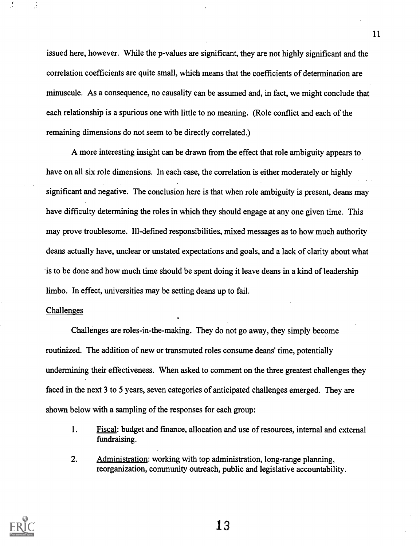issued here, however. While the p-values are significant, they are not highly significant and the correlation coefficients are quite small, which means that the coefficients of determination are minuscule. As a consequence, no causality can be assumed and, in fact, we might conclude that each relationship is a spurious one with little to no meaning. (Role conflict and each of the remaining dimensions do not seem to be directly correlated.)

A more interesting insight can be drawn from the effect that role ambiguity appears to have on all six role dimensions. In each case, the correlation is either moderately or highly significant and negative. The conclusion here is that when role ambiguity is present, deans may have difficulty determining the roles in which they should engage at any one given time. This may prove troublesome. Ill-defined responsibilities, mixed messages as to how much authority deans actually have, unclear or unstated expectations and goals, and a lack of clarity about what 'is to be done and how much time should be spent doing it leave deans in a kind of leadership limbo. In effect, universities may be setting deans up to fail.

#### **Challenges**

Challenges are roles-in-the-making. They do not go away, they simply become routinized. The addition of new or transmuted roles consume deans' time, potentially undermining their effectiveness. When asked to comment on the three greatest challenges they faced in the next 3 to 5 years, seven categories of anticipated challenges emerged. They are shown below with a sampling of the responses for each group:

- 1. Fiscal: budget and finance, allocation and use of resources, internal and external fundraising.
- 2. Administration: working with top administration, long-range planning, reorganization, community outreach, public and legislative accountability.



13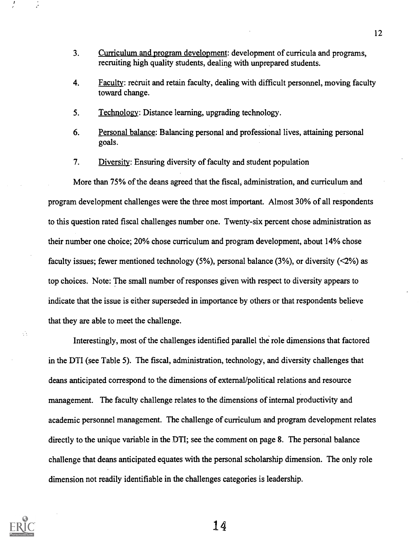- 3. Curriculum and program development: development of curricula and programs, recruiting high quality students, dealing with unprepared students.
- 4. Faculty: recruit and retain faculty, dealing with difficult personnel, moving faculty toward change.
- 5. Technology: Distance learning, upgrading technology.
- 6. Personal balance: Balancing personal and professional lives, attaining personal goals.
- 7. Diversity: Ensuring diversity of faculty and student population

More than 75% of the deans agreed that the fiscal, administration, and curriculum and program development challenges were the three most important. Almost 30% of all respondents to this question rated fiscal challenges number one. Twenty-six percent chose administration as their number one choice; 20% chose curriculum and program development, about 14% chose faculty issues; fewer mentioned technology  $(5\%)$ , personal balance  $(3\%)$ , or diversity  $(\leq 2\%)$  as top choices. Note: The small number of responses given with respect to diversity appears to indicate that the issue is either superseded in importance by others or that respondents believe that they are able to meet the challenge.

Interestingly, most of the challenges identified parallel the role dimensions that factored in the DTI (see Table 5). The fiscal, administration, technology, and diversity challenges that deans anticipated correspond to the dimensions of external/political relations and resource management. The faculty challenge relates to the dimensions of internal productivity and academic personnel management. The challenge of curriculum and program development relates directly to the unique variable in the DTI; see the comment on page 8. The personal balance challenge that deans anticipated equates with the personal scholarship dimension. The only role dimension not readily identifiable in the challenges categories is leadership.



 $\mathbb{R}^3$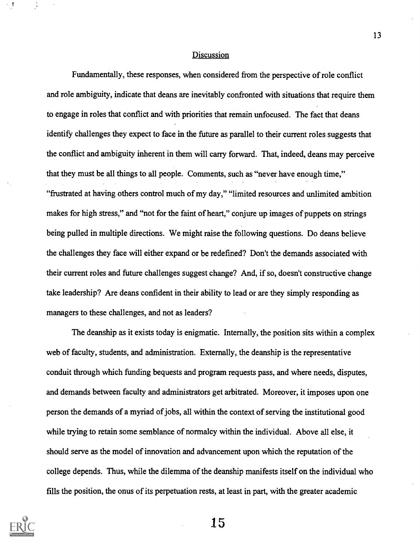#### Discussion

Fundamentally, these responses, when considered from the perspective of role conflict and role ambiguity, indicate that deans are inevitably confronted with situations that require them to engage in roles that conflict and with priorities that remain unfocused. The fact that deans identify challenges they expect to face in the future as parallel to their current roles suggests that the conflict and ambiguity inherent in them will carry forward. That, indeed, deans may perceive that they must be all things to all people. Comments, such as "never have enough time," "frustrated at having others control much of my day," "limited resources and unlimited ambition makes for high stress," and "not for the faint of heart," conjure up images of puppets on strings being pulled in multiple directions. We might raise the following questions. Do deans believe the challenges they face will either expand or be redefined? Don't the demands associated with their current roles and future challenges suggest change? And, if so, doesn't constructive change take leadership? Are deans confident in their ability to lead or are they simply responding as managers to these challenges, and not as leaders?

The deanship as it exists today is enigmatic. Internally, the position sits within a complex web of faculty, students, and administration. Externally, the deanship is the representative conduit through which funding bequests and program requests pass, and where needs, disputes, and demands between faculty and administrators get arbitrated. Moreover, it imposes upon one person the demands of a myriad of jobs, all within the context of serving the institutional good while trying to retain some semblance of normalcy within the individual. Above all else, it should serve as the model of innovation and advancement upon which the reputation of the college depends. Thus, while the dilemma of the deanship manifests itself on the individual who fills the position, the onus of its perpetuation rests, at least in part, with the greater academic



15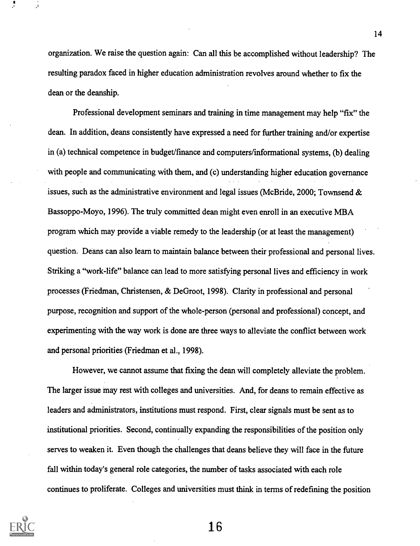organization. We raise the question again: Can all this be accomplished without leadership? The resulting paradox faced in higher education administration revolves around whether to fix the dean or the deanship.

Professional development seminars and training in time management may help "fix" the dean. In addition, deans consistently have expressed a need for further training and/or expertise in (a) technical competence in budget/finance and computers/informational systems, (b) dealing with people and communicating with them, and (c) understanding higher education governance issues, such as the administrative environment and legal issues (McBride, 2000; Townsend & Bassoppo-Moyo, 1996). The truly committed dean might even enroll in an executive MBA program which may provide a viable remedy to the leadership (or at least the management) question. Deans can also learn to maintain balance between their professional and personal lives. Striking a "work-life" balance can lead to more satisfying personal lives and efficiency in work processes (Friedman, Christensen, & DeGroot, 1998). Clarity in professional and personal purpose, recognition and support of the whole-person (personal and professional) concept, and experimenting with the way work is done are three ways to alleviate the conflict between work and personal priorities (Friedman et al., 1998).

However, we cannot assume that fixing the dean will completely alleviate the problem. The larger issue may rest with colleges and universities. And, for deans to remain effective as leaders and administrators, institutions must respond. First, clear signals must be sent as to institutional priorities. Second, continually expanding the responsibilities of the position only serves to weaken it. Even though the challenges that deans believe they will face in the future fall within today's general role categories, the number of tasks associated with each role continues to proliferate. Colleges and universities must think in terms of redefining the position

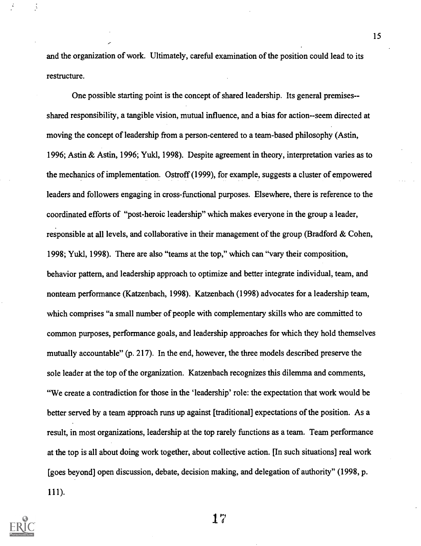and the organization of work. Ultimately, careful examination of the position could lead to its restructure.

One possible starting point is the concept of shared leadership. Its general premises- shared responsibility, a tangible vision, mutual influence, and a bias for action--seem directed at moving the concept of leadership from a person-centered to a team-based philosophy (Astin, 1996; Astin & Astin, 1996; Yuld, 1998). Despite agreement in theory, interpretation varies as to the mechanics of implementation. Ostroff (1999), for example, suggests a cluster of empowered leaders and followers engaging in cross-functional purposes. Elsewhere, there is reference to the coordinated efforts of "post-heroic leadership" which makes everyone in the group a leader, responsible at all levels, and collaborative in their management of the group (Bradford & Cohen, 1998; Yukl, 1998). There are also "teams at the top," which can "vary their composition, behavior pattern, and leadership approach to optimize and better integrate individual, team, and nonteam performance (Katzenbach, 1998). Katzenbach (1998) advocates for a leadership team, which comprises "a small number of people with complementary skills who are committed to common purposes, performance goals, and leadership approaches for which they hold themselves mutually accountable" (p. 217). In the end, however, the three models described preserve the sole leader at the top of the organization. Katzenbach recognizes this dilemma and comments, "We create a contradiction for those in the 'leadership' role: the expectation that work would be better served by a team approach runs up against [traditional] expectations of the position. As a result, in most organizations, leadership at the top rarely functions as a team. Team performance at the top is all about doing work together, about collective action. [In such situations] real work [goes beyond] open discussion, debate, decision making, and delegation of authority" (1998, p. 111).

1"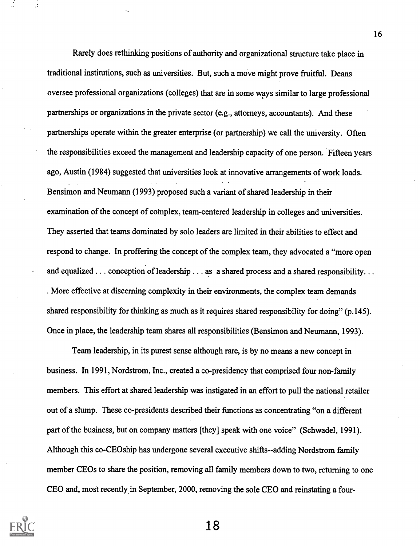Rarely does rethinking positions of authority and organizational structure take place in traditional institutions, such as universities. But, such a move might prove fruitful. Deans oversee professional organizations (colleges) that are in some ways similar to large professional partnerships or organizations in the private sector (e.g., attorneys, accountants). And these partnerships operate within the greater enterprise (or partnership) we call the university. Often the responsibilities exceed the management and leadership capacity of one person. Fifteen years ago, Austin (1984) suggested that universities look at innovative arrangements of work loads. Bensimon and Neumann (1993) proposed such a variant of shared leadership in their examination of the concept of complex, team-centered leadership in colleges and universities. They asserted that teams dominated by solo leaders are limited in their abilities to effect and respond to change. In proffering the concept of the complex team, they advocated a "more open and equalized . . . conception of leadership . . . as a shared process and a shared responsibility. . . . More effective at discerning complexity in their environments, the complex team demands shared responsibility for thinking as much as it requires shared responsibility for doing" (p.145). Once in place, the leadership team shares all responsibilities (Bensimon and Neumann, 1993).

Team leadership, in its purest sense although rare, is by no means a new concept in business. In 1991, Nordstrom, Inc., created a co-presidency that comprised four non-family members. This effort at shared leadership was instigated in an effort to pull the national retailer out of a slump. These co-presidents described their functions as concentrating "on a different part of the business, but on company matters [they] speak with one voice" (Schwadel, 1991). Although this co-CEOship has undergone several executive shifts--adding Nordstrom family member CEOs to share the position, removing all family members down to two, returning to one CEO and, most recently in September, 2000, removing the sole CEO and reinstating a four-

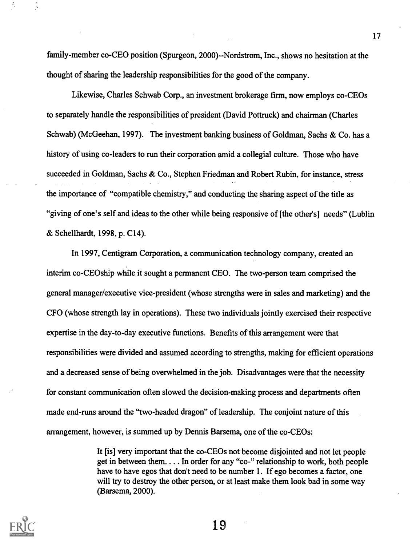family-member co-CEO position (Spurgeon, 2000)--Nordstrom, Inc., shows no hesitation at the thought of sharing the leadership responsibilities for the good of the company.

Likewise, Charles Schwab Corp., an investment brokerage firm, now employs co-CEOs to separately handle the responsibilities of president (David Pottruck) and chairman (Charles Schwab) (McGeehan, 1997). The investment banking business of Goldman, Sachs & Co. has a history of using co-leaders to run their corporation amid a collegial culture. Those who have succeeded in Goldman, Sachs & Co., Stephen Friedman and Robert Rubin, for instance, stress the importance of "compatible chemistry," and conducting the sharing aspect of the title as "giving of one's self and ideas to the other while being responsive of [the other's] needs" (Lublin & Schellhardt, 1998, p. C14).

In 1997, Centigram Corporation, a communication technology company, created an interim co-CEOship while it sought a permanent CEO. The two-person team comprised the general manager/executive vice-president (whose strengths were in sales and marketing) and the CFO (whose strength lay in operations). These two individuals jointly exercised their respective expertise in the day-to-day executive functions. Benefits of this arrangement were that responsibilities were divided and assumed according to strengths, making for efficient operations and a decreased sense of being overwhelmed in the job. Disadvantages were that the necessity for constant communication often slowed the decision-making process and departments often made end-runs around the "two-headed dragon" of leadership. The conjoint nature of this arrangement, however, is summed up by Dennis Barsema, one of the co-CEOs:

> It [is] very important that the co-CEOs not become disjointed and not let people get in between them. . . .In order for any "co-" relationship to work, both people have to have egos that don't need to be number 1. If ego becomes a factor, one will try to destroy the other person, or at least make them look bad in some way (Barsema, 2000).



19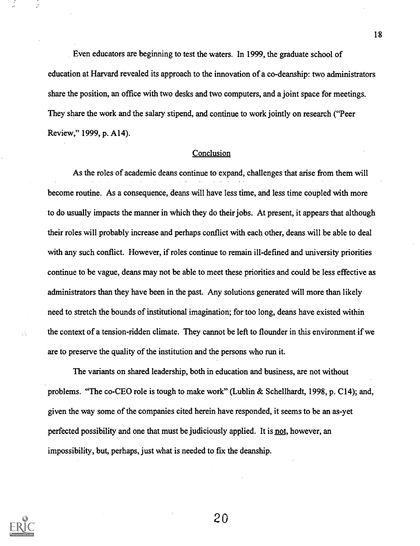Even educators are beginning to test the waters. In 1999, the graduate school of education at Harvard revealed its approach to the innovation of a co-deanship: two administrators share the position, an office with two desks and two computers, and a joint space for meetings. They share the work and the salary stipend, and continue to work jointly on research ("Peer Review," 1999, p. A14).

#### Conclusion

As the roles of academic deans continue to expand, challenges that arise from them will become routine. As a consequence, deans will have less time, and less time coupled with more to do usually impacts the manner in which they do their jobs. At present, it appears that although their roles will probably increase and perhaps conflict with each other, deans will be able to deal with any such conflict. However, if roles continue to remain ill-defined and university priorities continue to be vague, deans may not be able to meet these priorities and could be less effective as administrators than they have been in the past. Any solutions generated will more than likely need to stretch the bounds of institutional imagination; for too long, deans have existed within the context of a tension-ridden climate. They cannot be left to flounder in this environment if we are to preserve the quality of the institution and the persons who run it.

The variants on shared leadership, both in education and business, are not without problems. "The co-CEO role is tough to make work" (Lublin & Schellhardt, 1998, p. C14); and, given the way some of the companies cited herein have responded, it seems to be an as-yet perfected possibility and one that must be judiciously applied. It is not, however, an impossibility, but, perhaps, just what is needed to fix the deanship.



 $\mathcal{L}_{\mathcal{A}}$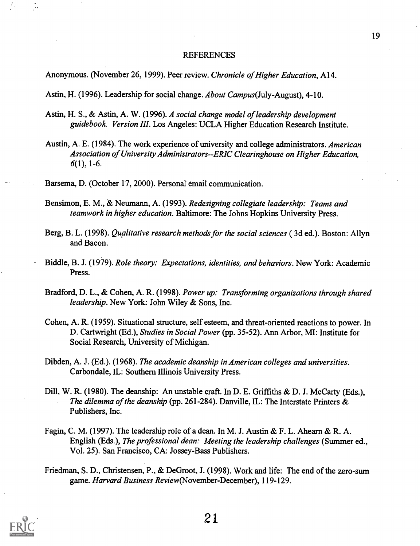#### REFERENCES

19

Anonymous. (November 26, 1999). Peer review. Chronicle of Higher Education, A14.

Astin, H. (1996). Leadership for social change. About Campus(July-August), 4-10.

- Astin, H. S., & Astin, A. W. (1996). A social change model of leadership development guidebook Version III. Los Angeles: UCLA Higher Education Research Institute.
- Austin, A. E. (1984). The work experience of university and college administrators. American Association of University Administrators- -ERIC Clearinghouse on Higher Education,  $6(1)$ , 1-6.

Barsema, D. (October 17, 2000). Personal email communication.

- Bensimon, E. M., & Neumann, A. (1993). Redesigning collegiate leadership: Teams and teamwork in higher education. Baltimore: The Johns Hopkins University Press.
- Berg, B. L. (1998). Qualitative research methods for the social sciences ( 3d ed.). Boston: Allyn and Bacon.
- Biddle, B. J. (1979). Role theory: Expectations, identities, and behaviors. New York: Academic Press.
- Bradford, D. L., & Cohen, A. R. (1998). Power up: Transforming organizations through shared leadership. New York: John Wiley & Sons, Inc.
- Cohen, A. R. (1959). Situational structure, self esteem, and threat-oriented reactions to power. In D. Cartwright (Ed.), Studies in Social Power (pp. 35-52). Ann Arbor, MI: Institute for Social Research, University of Michigan.
- Dibden, A. J. (Ed.). (1968). The academic deanship in American colleges and universities. Carbondale, IL: Southern Illinois University Press.
- Dill, W. R. (1980). The deanship: An unstable craft. In D. E. Griffiths & D. J. McCarty (Eds.), The dilemma of the deanship (pp. 261-284). Danville, IL: The Interstate Printers & Publishers, Inc.
- Fagin, C. M. (1997). The leadership role of a dean. In M. J. Austin & F. L. Ahearn & R. A. English (Eds.), The professional dean: Meeting the leadership challenges (Summer ed., Vol. 25). San Francisco, CA: Jossey-Bass Publishers.
- Friedman, S. D., Christensen, P., & DeGroot, J. (1998). Work and life: The end of the zero-sum game. Harvard Business Review(November-December), 119-129.

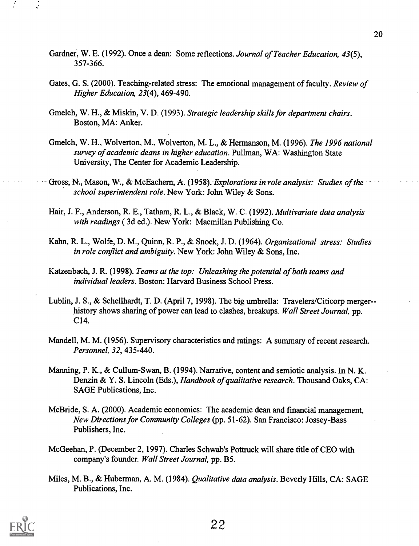- Gardner, W. E. (1992). Once a dean: Some reflections. Journal of Teacher Education, 43(5), 357-366.
- Gates, G. S. (2000). Teaching-related stress: The emotional management of faculty. Review of Higher Education, 23(4), 469-490.
- Gmelch, W. H., & Miskin, V. D. (1993). Strategic leadership skills for department chairs. Boston, MA: Anker.
- Gmelch, W. H., Wolverton, M., Wolverton, M. L., & Hermanson, M. (1996). The 1996 national survey of academic deans in higher education. Pullman, WA: Washington State University, The Center for Academic Leadership.
- Gross, N., Mason, W., & McEachern, A. (1958). Explorations in role analysis: Studies of the school superintendent role. New York: John Wiley & Sons.
- Hair, J. F., Anderson, R. E., Tatham, R. L., & Black, W. C. (1992). Multivariate data analysis with readings ( 3d ed.). New York: Macmillan Publishing Co.
- Kahn, R. L., Wolfe, D. M., Quinn, R. P., & Snoek, J. D. (1964). Organizational stress: Studies in role conflict and ambiguity. New York: John Wiley & Sons, Inc.
- Katzenbach, J. R. (1998). Teams at the top: Unleashing the potential of both teams and individual leaders. Boston: Harvard Business School Press.
- Lublin, J. S., & Schellhardt, T. D. (April 7, 1998). The big umbrella: Travelers/Citicorp merger- history shows sharing of power can lead to clashes, breakups. Wall Street Journal, pp. C14.
- Mandell, M. M. (1956). Supervisory characteristics and ratings: A summary of recent research. Personnel, 32, 435-440.
- Manning, P. K., & Cullum-Swan, B. (1994). Narrative, content and semiotic analysis. In N. K. Denzin & Y. S. Lincoln (Eds.), Handbook of qualitative research. Thousand Oaks, CA: SAGE Publications, Inc.
- McBride, S. A. (2000). Academic economics: The academic dean and financial management, New Directions for Community Colleges (pp. 51-62). San Francisco: Jossey-Bass Publishers, Inc.
- McGeehan, P. (December 2, 1997). Charles Schwab's Pottruck will share title of CEO with company's founder. Wall Street Journal, pp. B5.
- Miles, M. B., & Huberman, A. M. (1984). Qualitative data analysis. Beverly Hills, CA: SAGE Publications, Inc.

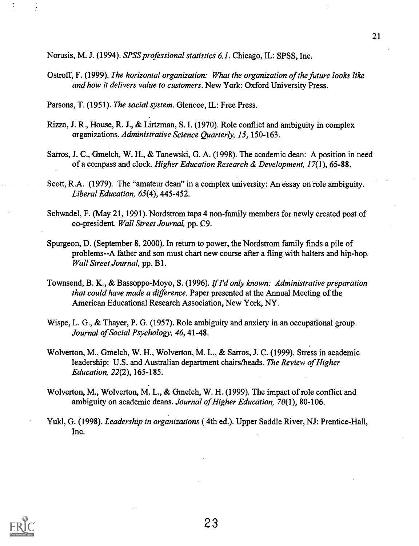Norusis, M. J. (1994). SPSS professional statistics 6.1. Chicago, IL: SPSS, Inc.

Ostroff, F. (1999). The horizontal organization: What the organization of the future looks like and how it delivers value to customers. New York: Oxford University Press.

Parsons, T. (1951). The social system. Glencoe, IL: Free Press.

- Rizzo, J. R., House, R. J., & Lirtzman, S. I. (1970). Role conflict and ambiguity in complex organizations. Administrative Science Quarterly, 15, 150-163.
- Sarros, J. C., Gmelch, W. H., & Tanewski, G. A. (1998). The academic dean: A position in need of a compass and clock. Higher Education Research & Development, 17(1), 65-88.
- Scott, R.A. (1979). The "amateur dean" in a complex university: An essay on role ambiguity. Liberal Education, 65(4), 445-452.
- Schwadel, F. (May 21, 1991). Nordstrom taps 4 non-family members for newly created post of co-president Wall Street Journal, pp. C9.
- Spurgeon, D. (September 8, 2000). In return to power, the Nordstrom family finds a pile of problems--A father and son must chart new course after a fling with halters and hip-hop. Wall Street Journal, pp. B1.
- Townsend, B. K., & Bassoppo-Moyo, S. (1996). If I'd only known: Administrative preparation that could have made a difference. Paper presented at the Annual Meeting of the American Educational Research Association, New York, NY.
- Wispe, L. G., & Thayer, P. G. (1957). Role ambiguity and anxiety in an occupational group. Journal of Social Psychology, 46, 41-48.
- Wolverton, M., Gmelch, W. H., Wolverton, M. L., & Sarros, J. C. (1999). Stress in academic leadership: U.S. and Australian department chairs/heads. The Review of Higher Education, 22(2), 165-185.
- Wolverton, M., Wolverton, M. L., & Gmelch, W. H. (1999). The impact of role conflict and ambiguity on academic deans. Journal of Higher Education, 70(1), 80-106.
- Yukl, G. (1998). Leadership in organizations ( 4th ed.). Upper Saddle River, NJ: Prentice-Hall, Inc.

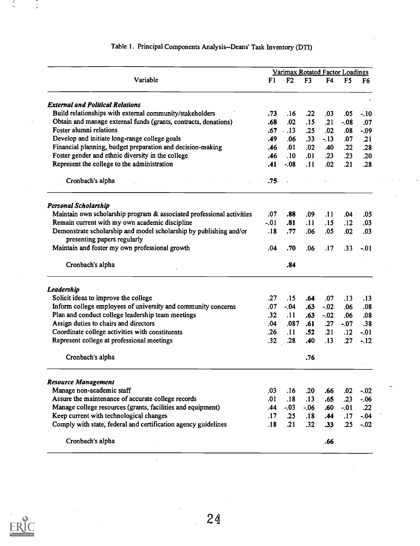|                                                                       |        | Varimax Rotated Factor Loadings |                |            |                 |                |
|-----------------------------------------------------------------------|--------|---------------------------------|----------------|------------|-----------------|----------------|
| Variable                                                              | F1     | F <sub>2</sub>                  | F <sub>3</sub> | F4         | F <sub>5</sub>  | F <sub>6</sub> |
| <b>External and Political Relations</b>                               |        |                                 |                |            |                 |                |
| Build relationships with external community/stakeholders              | .73    | .16                             | .22            | .03        | .05             | $-.10$         |
| Obtain and manage external funds (grants, contracts, donations)       | .68    | .02                             | .15            | .21        | $-0.08$         | .07            |
| Foster alumni relations                                               | .67    | .13                             | .25            | .02        | .08             | $-09$          |
| Develop and initiate long-range college goals                         | .49    | .06                             | .33            | $-.13$     | .07             | .21            |
| Financial planning, budget preparation and decision-making            | .46    | .01                             | .02            | .40        | .22             | .28            |
| Foster gender and ethnic diversity in the college                     | .46    | .10                             | .01            | .23        | .23             | .20            |
| Represent the college to the administration                           | .41    | $-.08$                          | .11            | .02        | $\overline{21}$ | .28            |
| Cronbach's alpha                                                      | $.75-$ |                                 |                |            |                 |                |
| <b>Personal Scholarship</b>                                           |        |                                 |                |            |                 |                |
| Maintain own scholarship program & associated professional activities | .07    | .88                             | .09            | .11        | .04             | .05            |
| Remain current with my own academic discipline                        | $-.01$ | .81                             | .11            | .15        | .12             | .03            |
| Demonstrate scholarship and model scholarship by publishing and/or    | .18    | .77                             | .06            | .05        | .02             | .03            |
| presenting papers regularly                                           |        |                                 |                |            |                 |                |
| Maintain and foster my own professional growth                        | .04    | .70                             | .06            | .17        | .33             | $-01$          |
| Cronbach's alpha                                                      |        | .84                             |                |            |                 |                |
| Leadership                                                            |        |                                 |                |            |                 |                |
| Solicit ideas to improve the college                                  | .27    | .15                             | .64            | .07        | .13             | .13            |
| Inform college employees of university and community concerns         | .07    | - 04                            | .63            | $-.02$     | .06             | .08            |
| Plan and conduct college leadership team meetings                     | .32    | .11                             | .63            | $-.02$     | .06             | .08            |
| Assign duties to chairs and directors                                 | .04    | .087                            | .61            | .27        | $-07$           | .38            |
| Coordinate college activities with constituents                       | .26    | .11 <sup>°</sup>                | .52            | $\cdot$ 21 | .12             | $-.01$         |
| Represent college at professional meetings                            | .32    | .28                             | .40            | .13        | .27             | $-12$          |
| Cronbach's alpha                                                      |        |                                 | .76            |            |                 |                |
| <b>Resource Management</b>                                            |        |                                 |                |            |                 |                |
| Manage non-academic staff                                             | .03    | .16                             | .20            | .66        | .02             | $-.02$         |
| Assure the maintenance of accurate college records                    | .01    | .18                             | .13            | .65        | .23             | $-.06$         |
| Manage college resources (grants, facilities and equipment)           | .44    | $-.03$                          | $-.06$         | .60        | $-.01$          | .22            |
|                                                                       | .17    | .25                             | .18            | .44        | .17             | $-.04$         |
| Keep current with technological changes                               |        |                                 |                |            |                 |                |
| Comply with state, federal and certification agency guidelines        | .18    | .21                             | .32            | .33        | .25             | $-.02$         |

 $\downarrow$ 

# Table 1. Principal Components Analysis--Deans' Task Inventory (DTI)



÷,

 $\ddot{\phantom{0}}$ 

 $\ddot{\cdot}$ 

 $\bar{z}$ 

 $\ddot{\phantom{a}}$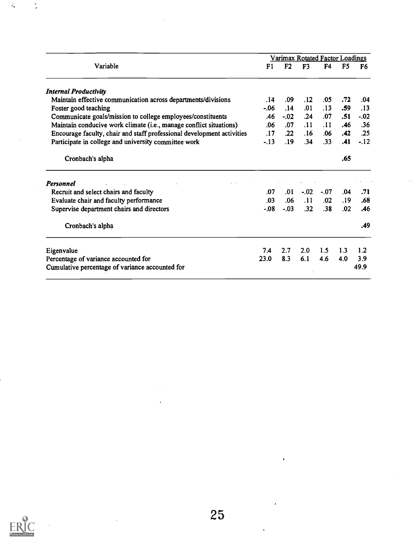|                                                                        |        | Varimax Rotated Factor Loadings |                |        |                |        |
|------------------------------------------------------------------------|--------|---------------------------------|----------------|--------|----------------|--------|
| Variable                                                               | F1     | F <sub>2</sub>                  | F <sub>3</sub> | F4     | F <sub>5</sub> | F6     |
| <b>Internal Productivity</b>                                           |        |                                 |                |        |                |        |
| Maintain effective communication across departments/divisions          | .14    | .09                             | .12            | .05    | .72            | .04    |
| Foster good teaching                                                   | $-06$  | .14                             | .01            | .13    | .59            | .13    |
| Communicate goals/mission to college employees/constituents            | .46    | $-.02$                          | .24            | .07    | .51            | $-.02$ |
| Maintain conducive work climate (i.e., manage conflict situations)     | .06    | .07                             | .11            | .11    | .46            | .36    |
| Encourage faculty, chair and staff professional development activities | .17    | .22                             | .16            | .06    | .42            | .25    |
| Participate in college and university committee work                   | $-.13$ | .19                             | .34            | .33    | .41            | $-.12$ |
| Cronbach's alpha                                                       |        |                                 |                |        | .65            |        |
| <b>Personnel</b>                                                       |        |                                 |                |        |                |        |
| Recruit and select chairs and faculty                                  | .07    | .01                             | $-.02$         | $-.07$ | .04            | .71    |
| Evaluate chair and faculty performance                                 | .03    | .06                             | .11            | .02    | .19            | .68    |
| Supervise department chairs and directors                              | $-.08$ | $-.03$                          | .32            | .38    | .02            | .46    |
| Cronbach's alpha                                                       |        |                                 |                |        |                | .49    |
| Eigenvalue                                                             | 7.4    | 2.7                             | 2.0            | 1.5    | 1.3            | 1.2    |
| Percentage of variance accounted for                                   | 23.0   | 8.3                             | 6.1            | 4.6    | 4.0            | 3.9    |
|                                                                        |        |                                 |                |        |                | 49.9   |



 $\ddot{\cdot}$ 

 $\ddot{\cdot}$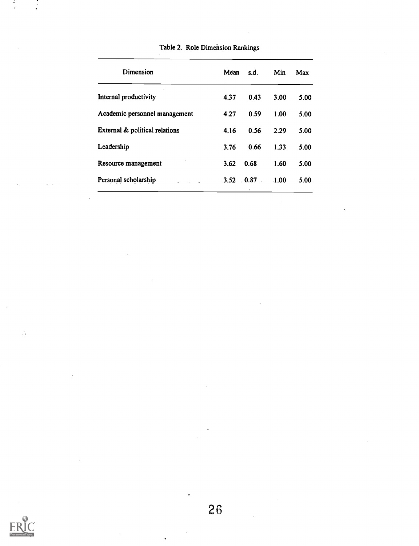| Dimension                      | Mean | s.d.     | Min  | Max  |
|--------------------------------|------|----------|------|------|
| Internal productivity          | 4.37 | 0.43     | 3.00 | 5.00 |
| Academic personnel management  | 4.27 | 0.59     | 1.00 | 5.00 |
| External & political relations | 4.16 | 0.56     | 2.29 | 5.00 |
| Leadership                     | 3.76 | 0.66     | 1.33 | 5.00 |
| Resource management            | 3.62 | 0.68     | 1.60 | 5.00 |
| Personal scholarship           | 3.52 | $0.87$ . | 1.00 | 5.00 |
|                                |      |          |      |      |

Table 2. Role Dimension Rankings



 $\mathbb{C}$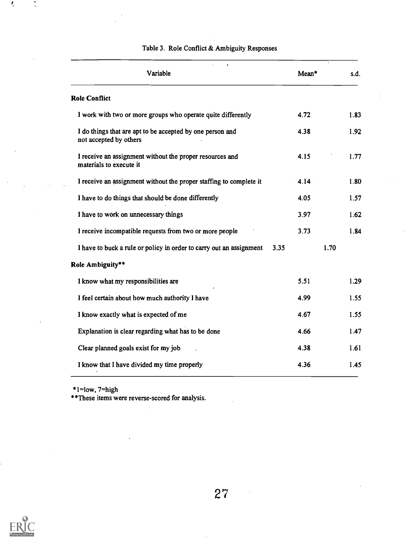| $\pmb{\cdot}$<br>Variable                                                           | Mean*    | s.d. |
|-------------------------------------------------------------------------------------|----------|------|
| <b>Role Conflict</b>                                                                |          |      |
| I work with two or more groups who operate quite differently                        | 4.72     | 1.83 |
| I do things that are apt to be accepted by one person and<br>not accepted by others | 4.38     | 1.92 |
| I receive an assignment without the proper resources and<br>materials to execute it | 4.15     | 1.77 |
| I receive an assignment without the proper staffing to complete it                  | $4.14 -$ | 1.80 |
| I have to do things that should be done differently                                 | 4.05     | 1.57 |
| I have to work on unnecessary things                                                | 3.97     | 1.62 |
| I receive incompatible requests from two or more people                             | 3.73     | 1.84 |
| I have to buck a rule or policy in order to carry out an assignment                 | 3.35     | 1.70 |
| Role Ambiguity**                                                                    |          |      |
| I know what my responsibilities are                                                 | 5.51     | 1.29 |
| I feel certain about how much authority I have                                      | 4.99     | 1.55 |
| I know exactly what is expected of me                                               | 4.67     | 1.55 |
| Explanation is clear regarding what has to be done                                  | 4.66     | 1.47 |
| Clear planned goals exist for my job                                                | 4.38     | 1.61 |
| I know that I have divided my time properly                                         | 4.36     | 1.45 |

### Table 3. Role Conflict & Ambiguity Responses

\*1=low, 7=high

\*\*These items were reverse-scored for analysis.



 $\tilde{\mathbf{t}}$ 

 $\ddot{\cdot}$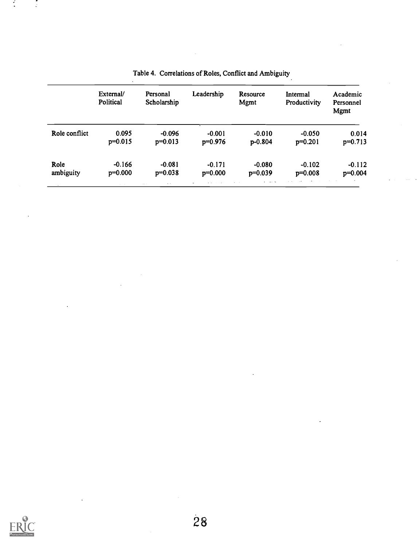|               | External/<br>Political | Personal<br>Scholarship | Leadership | Resource<br>Mgmt | Intermal<br>Productivity | Academic<br>Personnel<br>Mgmt |
|---------------|------------------------|-------------------------|------------|------------------|--------------------------|-------------------------------|
| Role conflict | 0.095                  | $-0.096$                | $-0.001$   | $-0.010$         | $-0.050$                 | 0.014                         |
|               | $p=0.015$              | $p=0.013$               | $p=0.976$  | $p-0.804$        | $p=0.201$                | $p=0.713$                     |
| Role          | $-0.166$               | $-0.081$                | $-0.171$   | $-0.080$         | $-0.102$                 | $-0.112$                      |
| ambiguity     | $p=0.000$              | $p=0.038$               | $p=0.000$  | $p=0.039$        | $p=0.008$                | $p=0.004$                     |

# Table 4. Correlations of Roles, Conflict and Ambiguity.



 $\cdot$  $\mathbb{Z}$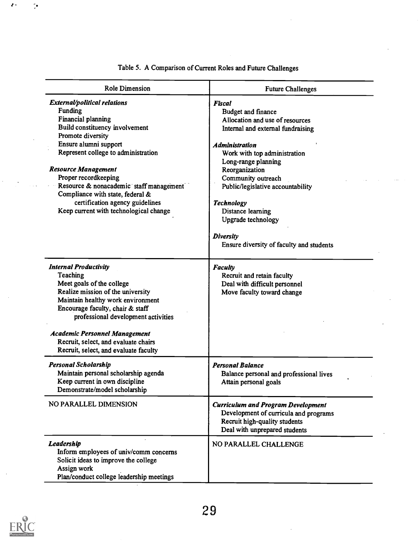| <b>Role Dimension</b>                                                                                                                                                                                                                                                                                                                                                                                  | <b>Future Challenges</b>                                                                                                                                                                                                                                                                                                                                                                                        |
|--------------------------------------------------------------------------------------------------------------------------------------------------------------------------------------------------------------------------------------------------------------------------------------------------------------------------------------------------------------------------------------------------------|-----------------------------------------------------------------------------------------------------------------------------------------------------------------------------------------------------------------------------------------------------------------------------------------------------------------------------------------------------------------------------------------------------------------|
| External/political relations<br>Funding<br>Financial planning<br>Build constituency involvement<br>Promote diversity<br>Ensure alumni support<br>Represent college to administration<br><b>Resource Management</b><br>Proper recordkeeping<br>Resource & nonacademic staff management<br>Compliance with state, federal &<br>certification agency guidelines<br>Keep current with technological change | <b>Fiscal</b><br><b>Budget and finance</b><br>Allocation and use of resources<br>Internal and external fundraising<br><b>Administration</b><br>Work with top administration<br>Long-range planning<br>Reorganization<br>Community outreach<br>Public/legislative accountability<br><b>Technology</b><br>Distance learning<br>Upgrade technology<br><b>Diversity</b><br>Ensure diversity of faculty and students |
| <b>Internal Productivity</b><br>Teaching<br>Meet goals of the college<br>Realize mission of the university<br>Maintain healthy work environment<br>Encourage faculty, chair & staff<br>professional development activities<br><b>Academic Personnel Management</b>                                                                                                                                     | <b>Faculty</b><br>Recruit and retain faculty<br>Deal with difficult personnel<br>Move faculty toward change                                                                                                                                                                                                                                                                                                     |
| Recruit, select, and evaluate chairs<br>Recruit, select, and evaluate faculty                                                                                                                                                                                                                                                                                                                          |                                                                                                                                                                                                                                                                                                                                                                                                                 |
| <b>Personal Scholarship</b><br>Maintain personal scholarship agenda<br>Keep current in own discipline<br>Demonstrate/model scholarship                                                                                                                                                                                                                                                                 | <b>Personal Balance</b><br>Balance personal and professional lives<br>Attain personal goals                                                                                                                                                                                                                                                                                                                     |
| NO PARALLEL DIMENSION                                                                                                                                                                                                                                                                                                                                                                                  | <b>Curriculum and Program Development</b><br>Development of curricula and programs<br>Recruit high-quality students<br>Deal with unprepared students                                                                                                                                                                                                                                                            |
| Leadership<br>Inform employees of univ/comm concerns<br>Solicit ideas to improve the college<br>Assign work<br>Plan/conduct college leadership meetings                                                                                                                                                                                                                                                | NO PARALLEL CHALLENGE                                                                                                                                                                                                                                                                                                                                                                                           |

Table 5. A Comparison of Current Roles and Future Challenges



1.

ņ.